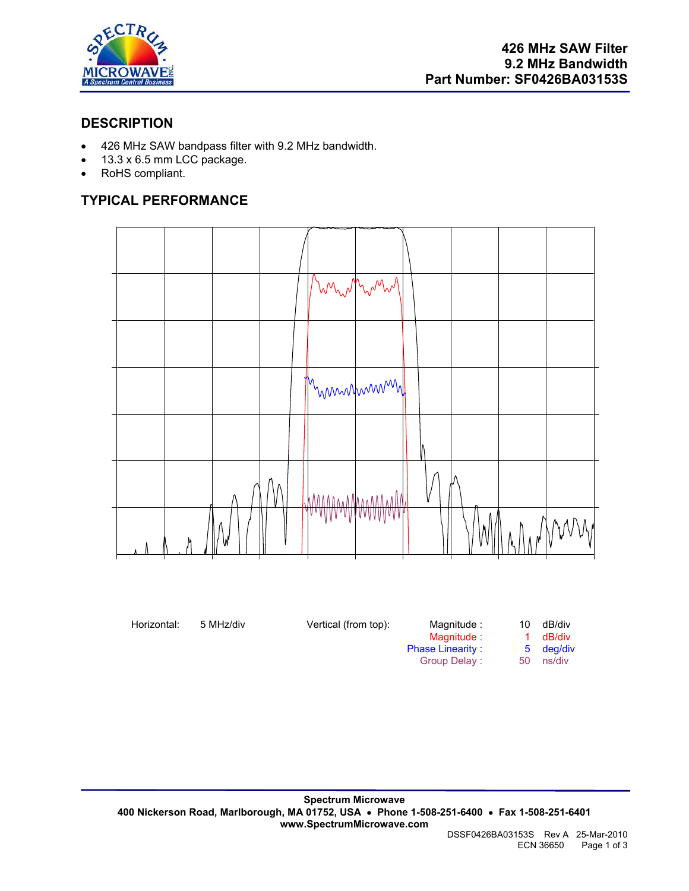

### **DESCRIPTION**

- 426 MHz SAW bandpass filter with 9.2 MHz bandwidth.
- 13.3 x 6.5 mm LCC package.
- RoHS compliant.

# **TYPICAL PERFORMANCE**



Horizontal: 5 MHz/div **Vertical (from top):** Magnitude : 10 dB/div Magnitude : 10 dB/div Magnitude : 1 dB/div<br>se Linearity : 5 deg/div Phase Linearity : Group Delay : 50 ns/div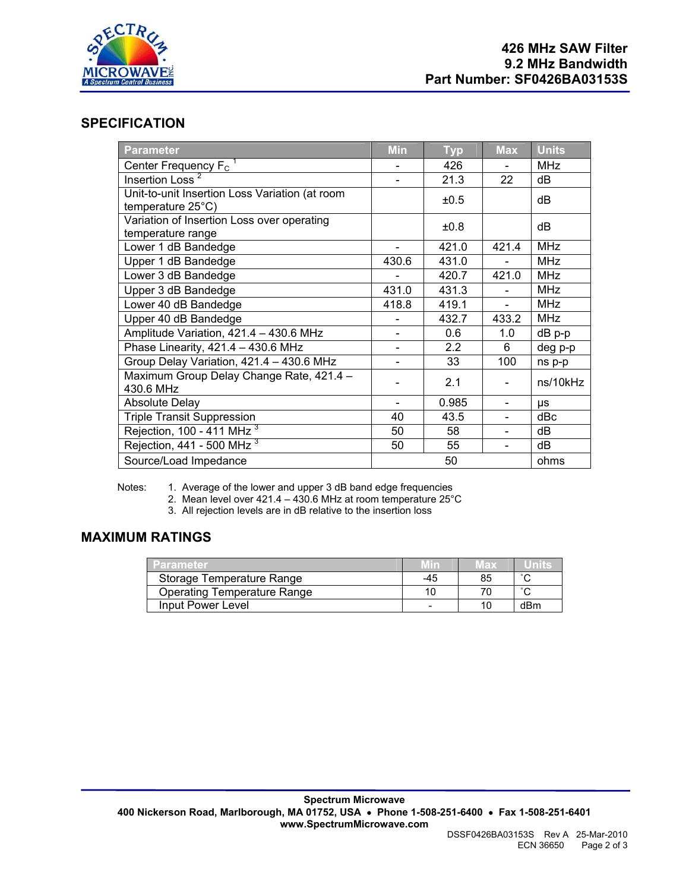

#### **SPECIFICATION**

| <b>Parameter</b>                                                              | <b>Min</b>               | <b>Typ</b> | <b>Max</b>               | <b>Units</b> |
|-------------------------------------------------------------------------------|--------------------------|------------|--------------------------|--------------|
| Center Frequency $F_c$ <sup>1</sup>                                           |                          | 426        |                          | <b>MHz</b>   |
| Insertion Loss <sup>2</sup>                                                   |                          | 21.3       | 22                       | dB           |
| Unit-to-unit Insertion Loss Variation (at room<br>temperature $25^{\circ}$ C) |                          | ±0.5       |                          | dB           |
| Variation of Insertion Loss over operating<br>temperature range               |                          | ±0.8       |                          | dB           |
| Lower 1 dB Bandedge                                                           |                          | 421.0      | 421.4                    | <b>MHz</b>   |
| Upper 1 dB Bandedge                                                           | 430.6                    | 431.0      |                          | <b>MHz</b>   |
| Lower 3 dB Bandedge                                                           |                          | 420.7      | 421.0                    | <b>MHz</b>   |
| Upper 3 dB Bandedge                                                           | 431.0                    | 431.3      |                          | <b>MHz</b>   |
| Lower 40 dB Bandedge                                                          | 418.8                    | 419.1      |                          | <b>MHz</b>   |
| Upper 40 dB Bandedge                                                          |                          | 432.7      | 433.2                    | <b>MHz</b>   |
| Amplitude Variation, 421.4 - 430.6 MHz                                        |                          | 0.6        | 1.0                      | dB p-p       |
| Phase Linearity, 421.4 - 430.6 MHz                                            | $\overline{\phantom{a}}$ | 2.2        | 6                        | deg p-p      |
| Group Delay Variation, 421.4 - 430.6 MHz                                      |                          | 33         | 100                      | ns p-p       |
| Maximum Group Delay Change Rate, 421.4 -<br>430.6 MHz                         |                          | 2.1        |                          | ns/10kHz     |
| <b>Absolute Delay</b>                                                         |                          | 0.985      |                          | μs           |
| <b>Triple Transit Suppression</b>                                             | 40                       | 43.5       | $\blacksquare$           | dBc          |
| Rejection, 100 - 411 MHz $3$                                                  | 50                       | 58         | $\overline{\phantom{0}}$ | dB           |
| Rejection, 441 - 500 MHz $^3$                                                 | 50                       | 55         |                          | dB           |
| Source/Load Impedance                                                         | 50                       |            |                          | ohms         |

Notes: 1. Average of the lower and upper 3 dB band edge frequencies

2. Mean level over 421.4 – 430.6 MHz at room temperature 25°C

3. All rejection levels are in dB relative to the insertion loss

### **MAXIMUM RATINGS**

| Parameter.                         |     | 1833 |        |
|------------------------------------|-----|------|--------|
| Storage Temperature Range          | -45 | 85   | $\sim$ |
| <b>Operating Temperature Range</b> |     |      |        |
| Input Power Level                  |     |      | dBm    |